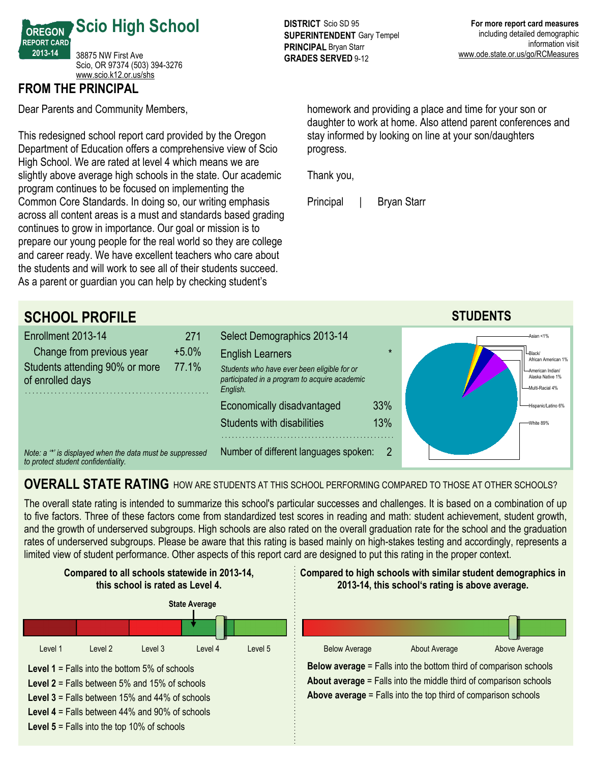

## **FROM THE PRINCIPAL**

Dear Parents and Community Members,

This redesigned school report card provided by the Oregon Department of Education offers a comprehensive view of Scio High School. We are rated at level 4 which means we are slightly above average high schools in the state. Our academic program continues to be focused on implementing the Common Core Standards. In doing so, our writing emphasis across all content areas is a must and standards based grading continues to grow in importance. Our goal or mission is to prepare our young people for the real world so they are college and career ready. We have excellent teachers who care about the students and will work to see all of their students succeed. As a parent or guardian you can help by checking student's

**DISTRICT** Scio SD 95 **SUPERINTENDENT** Gary Tempel **PRINCIPAL** Bryan Starr **GRADES SERVED 9-12** 

homework and providing a place and time for your son or daughter to work at home. Also attend parent conferences and stay informed by looking on line at your son/daughters progress.

Thank you,

Principal | Bryan Starr



## **OVERALL STATE RATING** HOW ARE STUDENTS AT THIS SCHOOL PERFORMING COMPARED TO THOSE AT OTHER SCHOOLS?

The overall state rating is intended to summarize this school's particular successes and challenges. It is based on a combination of up to five factors. Three of these factors come from standardized test scores in reading and math: student achievement, student growth, and the growth of underserved subgroups. High schools are also rated on the overall graduation rate for the school and the graduation rates of underserved subgroups. Please be aware that this rating is based mainly on high-stakes testing and accordingly, represents a limited view of student performance. Other aspects of this report card are designed to put this rating in the proper context.

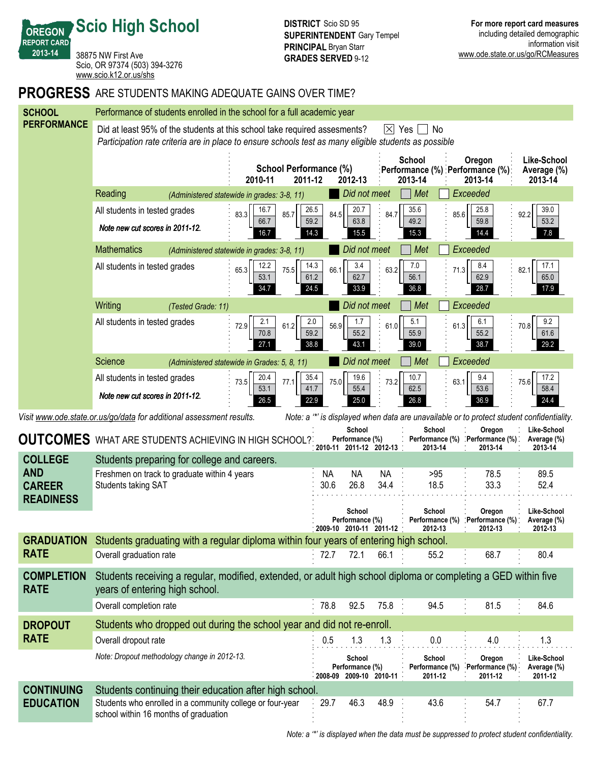**Scio High School**

**OREGON REPORT CARD 201314**

38875 NW First Ave Scio, OR 97374 (503) 394-3276 <www.scio.k12.or.us/shs>

## **PROGRESS** ARE STUDENTS MAKING ADEQUATE GAINS OVER TIME?

| <b>SCHOOL</b>                                                                                                                                                     | Performance of students enrolled in the school for a full academic year                                                                                                                                |                                                                |                              |                                                      |                         |                                                                                                                       |                                            |                                       |  |  |
|-------------------------------------------------------------------------------------------------------------------------------------------------------------------|--------------------------------------------------------------------------------------------------------------------------------------------------------------------------------------------------------|----------------------------------------------------------------|------------------------------|------------------------------------------------------|-------------------------|-----------------------------------------------------------------------------------------------------------------------|--------------------------------------------|---------------------------------------|--|--|
| <b>PERFORMANCE</b>                                                                                                                                                | Did at least 95% of the students at this school take required assesments?<br> X <br>Yes<br>No<br>Participation rate criteria are in place to ensure schools test as many eligible students as possible |                                                                |                              |                                                      |                         |                                                                                                                       |                                            |                                       |  |  |
|                                                                                                                                                                   |                                                                                                                                                                                                        | <b>School Performance (%)</b><br>2010-11<br>2011-12<br>2012-13 |                              |                                                      |                         | School<br>Oregon<br>Like-School<br>Performance (%) : Performance (%):<br>Average (%)<br>2013-14<br>2013-14<br>2013-14 |                                            |                                       |  |  |
|                                                                                                                                                                   | Reading                                                                                                                                                                                                | (Administered statewide in grades: 3-8, 11)                    |                              | Did not meet                                         |                         | Met                                                                                                                   | Exceeded                                   |                                       |  |  |
|                                                                                                                                                                   | All students in tested grades                                                                                                                                                                          | 16.7<br>83.3<br>85.7                                           | 26.5<br>84.5                 | 20.7                                                 | 84.7                    | 35.6<br>85.6                                                                                                          | 25.8                                       | 39.0<br>92.2                          |  |  |
|                                                                                                                                                                   | Note new cut scores in 2011-12.                                                                                                                                                                        | 66.7<br>16.7                                                   | 59.2<br>14.3                 | 63.8<br>15.5                                         |                         | 49.2<br>15.3                                                                                                          | 59.8<br>14.4                               | 53.2<br>7.8                           |  |  |
|                                                                                                                                                                   | <b>Mathematics</b>                                                                                                                                                                                     | (Administered statewide in grades: 3-8, 11)                    |                              | Did not meet                                         |                         | Exceeded<br>Met                                                                                                       |                                            |                                       |  |  |
|                                                                                                                                                                   | All students in tested grades                                                                                                                                                                          | 12.2<br>65.3<br>75.5<br>53.1<br>34.7                           | 14.3<br>66.1<br>61.2<br>24.5 | 3.4<br>62.7<br>33.9                                  | 63.2                    | 7.0<br>71.3<br>56.1<br>36.8                                                                                           | 8.4<br>62.9<br>28.7                        | 17.1<br>82.1<br>65.0<br>17.9          |  |  |
|                                                                                                                                                                   | Writing<br>(Tested Grade: 11)                                                                                                                                                                          |                                                                |                              | Exceeded<br>Did not meet<br>Met                      |                         |                                                                                                                       |                                            |                                       |  |  |
|                                                                                                                                                                   | All students in tested grades                                                                                                                                                                          | 2.1<br>72.9<br>61.2<br>70.8<br>27.1                            | 2.0<br>56.9<br>59.2<br>38.8  | 1.7<br>55.2<br>43.1                                  | 61.0                    | 5.1<br>61.3<br>55.9<br>39.0                                                                                           | 6.1<br>55.2<br>38.7                        | 9.2<br>70.8<br>61.6<br>29.2           |  |  |
|                                                                                                                                                                   | <b>Science</b>                                                                                                                                                                                         | (Administered statewide in Grades: 5, 8, 11)                   | Did not meet                 |                                                      |                         | Met                                                                                                                   | Exceeded                                   |                                       |  |  |
|                                                                                                                                                                   | All students in tested grades                                                                                                                                                                          | 20.4<br>73.5<br>77.1                                           | 35.4<br>75.0                 | 19.6                                                 | 73.2                    | 10.7<br>63.1                                                                                                          | 9.4                                        | 17.2<br>75.6                          |  |  |
|                                                                                                                                                                   | Note new cut scores in 2011-12.                                                                                                                                                                        | 53.1<br>26.5                                                   | 41.7<br>22.9                 | 55.4<br>25.0                                         |                         | 62.5<br>26.8                                                                                                          | 53.6<br>36.9                               | 58.4<br>24.4                          |  |  |
| Note: a "*' is displayed when data are unavailable or to protect student confidentiality.<br>Visit www.ode.state.or.us/go/data for additional assessment results. |                                                                                                                                                                                                        |                                                                |                              |                                                      |                         |                                                                                                                       |                                            |                                       |  |  |
|                                                                                                                                                                   |                                                                                                                                                                                                        |                                                                |                              |                                                      |                         |                                                                                                                       |                                            |                                       |  |  |
|                                                                                                                                                                   | <b>OUTCOMES</b> WHAT ARE STUDENTS ACHIEVING IN HIGH SCHOOL?                                                                                                                                            |                                                                |                              | School<br>Performance (%)                            |                         | School                                                                                                                | Oregon<br>Performance (%) Performance (%). | Like-School<br>Average (%)            |  |  |
| <b>COLLEGE</b>                                                                                                                                                    | Students preparing for college and careers.                                                                                                                                                            |                                                                |                              |                                                      | 2010-11 2011-12 2012-13 | 2013-14                                                                                                               | 2013-14                                    | 2013-14                               |  |  |
| <b>AND</b>                                                                                                                                                        | Freshmen on track to graduate within 4 years                                                                                                                                                           |                                                                | <b>NA</b>                    | <b>NA</b>                                            | <b>NA</b>               | >95                                                                                                                   | 78.5                                       | 89.5                                  |  |  |
| <b>CAREER</b>                                                                                                                                                     | <b>Students taking SAT</b>                                                                                                                                                                             |                                                                | 30.6                         | 26.8                                                 | 34.4                    | 18.5                                                                                                                  | 33.3                                       | 52.4                                  |  |  |
| <b>READINESS</b>                                                                                                                                                  |                                                                                                                                                                                                        |                                                                |                              | School<br>Performance (%)<br>2009-10 2010-11 2011-12 |                         | School<br>Performance (%)<br>2012-13                                                                                  | Oregon<br>Performance (%)<br>2012-13       | Like-School<br>Average (%)<br>2012-13 |  |  |
| <b>GRADUATION</b>                                                                                                                                                 | Students graduating with a regular diploma within four years of entering high school.                                                                                                                  |                                                                |                              |                                                      |                         |                                                                                                                       |                                            |                                       |  |  |
| <b>RATE</b>                                                                                                                                                       | Overall graduation rate                                                                                                                                                                                |                                                                | 72.7                         | 72.1                                                 | 66.1                    | 55.2                                                                                                                  | 68.7                                       | 80.4                                  |  |  |
| <b>COMPLETION</b><br><b>RATE</b>                                                                                                                                  | Students receiving a regular, modified, extended, or adult high school diploma or completing a GED within five<br>years of entering high school.                                                       |                                                                |                              |                                                      |                         |                                                                                                                       |                                            |                                       |  |  |
|                                                                                                                                                                   | Overall completion rate                                                                                                                                                                                |                                                                | 78.8                         | 92.5                                                 | 75.8:                   | 94.5                                                                                                                  | 81.5                                       | 84.6                                  |  |  |
| <b>DROPOUT</b>                                                                                                                                                    | Students who dropped out during the school year and did not re-enroll.                                                                                                                                 |                                                                |                              |                                                      |                         |                                                                                                                       |                                            |                                       |  |  |
| <b>RATE</b>                                                                                                                                                       | Overall dropout rate                                                                                                                                                                                   |                                                                | 0.5                          | 1.3                                                  | 1.3                     | 0.0                                                                                                                   | 4.0                                        | 1.3                                   |  |  |
|                                                                                                                                                                   | Note: Dropout methodology change in 2012-13.                                                                                                                                                           |                                                                |                              | School<br>Performance (%)<br>2008-09 2009-10 2010-11 |                         | School<br>Performance (%)<br>2011-12                                                                                  | Oregon<br>Performance (%)<br>2011-12       | Like-School<br>Average (%)<br>2011-12 |  |  |
| <b>CONTINUING</b>                                                                                                                                                 | Students continuing their education after high school.                                                                                                                                                 |                                                                |                              |                                                      |                         |                                                                                                                       |                                            |                                       |  |  |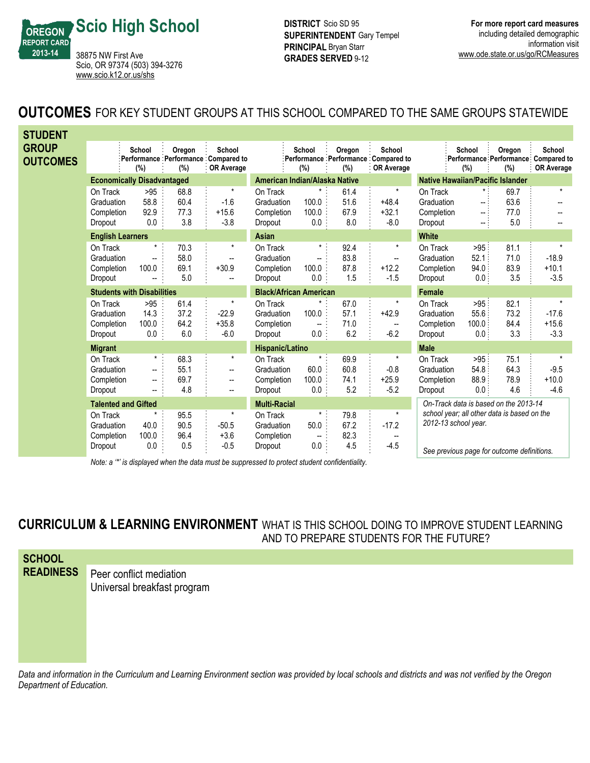

**DISTRICT** Scio SD 95 **SUPERINTENDENT** Gary Tempel **PRINCIPAL** Bryan Starr **GRADES SERVED 9-12** 

## **OUTCOMES** FOR KEY STUDENT GROUPS AT THIS SCHOOL COMPARED TO THE SAME GROUPS STATEWIDE

| <b>STUDENT</b>                  |                                                 |                                                                   |                             |                                                                                             |                                                 |                                                    |                             |                                                               |                                                 |                                                                                          |                             |                                                                    |
|---------------------------------|-------------------------------------------------|-------------------------------------------------------------------|-----------------------------|---------------------------------------------------------------------------------------------|-------------------------------------------------|----------------------------------------------------|-----------------------------|---------------------------------------------------------------|-------------------------------------------------|------------------------------------------------------------------------------------------|-----------------------------|--------------------------------------------------------------------|
| <b>GROUP</b><br><b>OUTCOMES</b> |                                                 | School<br>$(\%)$                                                  | Oregon<br>(%)               | School<br>Performance Performance Compared to<br>: OR Average                               |                                                 | School<br>(%)                                      | Oregon<br>(%)               | School<br>Performance Performance Compared to<br>: OR Average |                                                 | School<br>$(\%)$                                                                         | Oregon<br>(%)               | School<br>Performance Performance Compared to<br><b>OR Average</b> |
|                                 | <b>Economically Disadvantaged</b>               |                                                                   |                             | American Indian/Alaska Native                                                               |                                                 |                                                    |                             | <b>Native Hawaiian/Pacific Islander</b>                       |                                                 |                                                                                          |                             |                                                                    |
|                                 | On Track<br>Graduation<br>Completion<br>Dropout | >95<br>58.8<br>92.9<br>0.0                                        | 68.8<br>60.4<br>77.3<br>3.8 | $^\star$<br>$-1.6$<br>$+15.6$<br>$-3.8$                                                     | On Track<br>Graduation<br>Completion<br>Dropout | $\star$<br>100.0<br>100.0<br>$0.0\,$               | 61.4<br>51.6<br>67.9<br>8.0 | $^\star$<br>$+48.4$<br>$+32.1$<br>$-8.0$                      | On Track<br>Graduation<br>Completion<br>Dropout | $\star$ :<br>$\sim$ .<br>-- 1<br>-- 1                                                    | 69.7<br>63.6<br>77.0<br>5.0 | $\star$                                                            |
|                                 | <b>English Learners</b>                         |                                                                   |                             | Asian                                                                                       |                                                 |                                                    |                             | <b>White</b>                                                  |                                                 |                                                                                          |                             |                                                                    |
|                                 | On Track<br>Graduation<br>Completion<br>Dropout | $^{\star}$<br>$\overline{\phantom{a}}$<br>100.0                   | 70.3<br>58.0<br>69.1<br>5.0 | $\star$<br>$\overline{\phantom{a}}$<br>$+30.9$<br>$\overline{\phantom{a}}$                  | On Track<br>Graduation<br>Completion<br>Dropout | $\star$ :<br>--<br>100.0<br>0.0                    | 92.4<br>83.8<br>87.8<br>1.5 | $\star$<br>--<br>$+12.2$<br>$-1.5$                            | On Track<br>Graduation<br>Completion<br>Dropout | >95<br>52.1<br>94.0.<br>0.0:                                                             | 81.1<br>71.0<br>83.9<br>3.5 | $\star$<br>$-18.9$<br>$+10.1$<br>$-3.5$                            |
|                                 |                                                 | <b>Students with Disabilities</b>                                 |                             |                                                                                             |                                                 | <b>Black/African American</b>                      |                             |                                                               | <b>Female</b>                                   |                                                                                          |                             |                                                                    |
|                                 | On Track<br>Graduation<br>Completion<br>Dropout | >95<br>14.3<br>100.0<br>0.0                                       | 61.4<br>37.2<br>64.2<br>6.0 | $\star$<br>$-22.9$<br>$+35.8$<br>$-6.0$                                                     | On Track<br>Graduation<br>Completion<br>Dropout | 100.0<br>$\overline{\phantom{a}}$<br>0.0           | 67.0<br>57.1<br>71.0<br>6.2 | $\star$<br>$+42.9$<br>--<br>$-6.2$                            | On Track<br>Graduation<br>Completion<br>Dropout | $>95$ :<br>55.6:<br>100.0:<br>0.0:                                                       | 82.1<br>73.2<br>84.4<br>3.3 | $\star$<br>$-17.6$<br>$+15.6$<br>$-3.3$                            |
|                                 | <b>Migrant</b>                                  |                                                                   |                             |                                                                                             | Hispanic/Latino                                 |                                                    |                             |                                                               | <b>Male</b>                                     |                                                                                          |                             |                                                                    |
|                                 | On Track<br>Graduation<br>Completion<br>Dropout | $\star$ :<br>$\overline{\phantom{a}}$<br>$\overline{\phantom{a}}$ | 68.3<br>55.1<br>69.7<br>4.8 | $\star$<br>$\overline{\phantom{a}}$<br>$\overline{\phantom{a}}$<br>$\overline{\phantom{a}}$ | On Track<br>Graduation<br>Completion<br>Dropout | $\star$<br>60.0<br>100.0<br>$0.0\,$                | 69.9<br>60.8<br>74.1<br>5.2 | $\pmb{\ast}$<br>$-0.8$<br>$+25.9$<br>$-5.2$                   | On Track<br>Graduation<br>Completion<br>Dropout | >95:<br>54.8:<br>88.9:<br>0.0:                                                           | 75.1<br>64.3<br>78.9<br>4.6 | $\star$<br>$-9.5$<br>$+10.0$<br>$-4.6$                             |
|                                 | <b>Talented and Gifted</b>                      |                                                                   |                             | <b>Multi-Racial</b>                                                                         |                                                 |                                                    |                             | On-Track data is based on the 2013-14                         |                                                 |                                                                                          |                             |                                                                    |
|                                 | On Track<br>Graduation<br>Completion<br>Dropout | *<br>40.0<br>100.0<br>0.0                                         | 95.5<br>90.5<br>96.4<br>0.5 | $\star$<br>$-50.5$<br>$+3.6$<br>$-0.5$                                                      | On Track<br>Graduation<br>Completion<br>Dropout | $\star$<br>50.0<br>$\overline{\phantom{a}}$<br>0.0 | 79.8<br>67.2<br>82.3<br>4.5 | $\star$<br>$-17.2$<br>--<br>$-4.5$                            | 2012-13 school year.                            | school year; all other data is based on the<br>Can provisus nogo for outcome definitions |                             |                                                                    |

*Note: a '\*' is displayed when the data must be suppressed to protect student confidentiality.*

*See previous page for outcome definitions.*

**CURRICULUM & LEARNING ENVIRONMENT** WHAT IS THIS SCHOOL DOING TO IMPROVE STUDENT LEARNING

AND TO PREPARE STUDENTS FOR THE FUTURE?

**SCHOOL READINESS**

Peer conflict mediation Universal breakfast program

*Data and information in the Curriculum and Learning Environment section was provided by local schools and districts and was not verified by the Oregon Department of Education.*